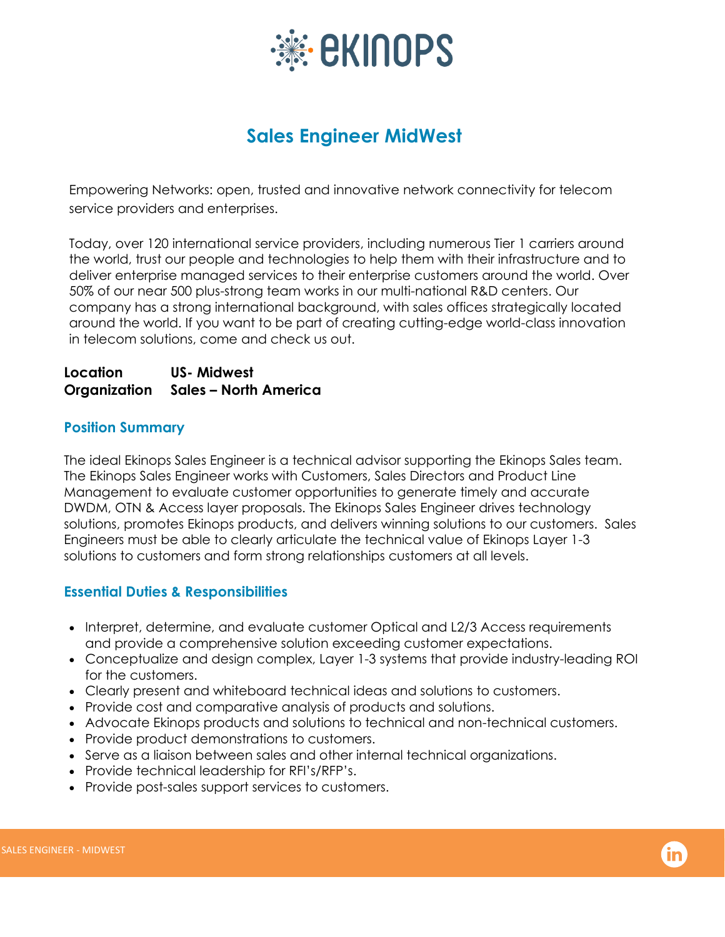

# **Sales Engineer MidWest**

Empowering Networks: open, trusted and innovative network connectivity for telecom service providers and enterprises.

Today, over 120 international service providers, including numerous Tier 1 carriers around the world, trust our people and technologies to help them with their infrastructure and to deliver enterprise managed services to their enterprise customers around the world. Over 50% of our near 500 plus-strong team works in our multi-national R&D centers. Our company has a strong international background, with sales offices strategically located around the world. If you want to be part of creating cutting-edge world-class innovation in telecom solutions, come and check us out.

#### **Location US- Midwest Organization Sales – North America**

## **Position Summary**

The ideal Ekinops Sales Engineer is a technical advisor supporting the Ekinops Sales team. The Ekinops Sales Engineer works with Customers, Sales Directors and Product Line Management to evaluate customer opportunities to generate timely and accurate DWDM, OTN & Access layer proposals. The Ekinops Sales Engineer drives technology solutions, promotes Ekinops products, and delivers winning solutions to our customers. Sales Engineers must be able to clearly articulate the technical value of Ekinops Layer 1-3 solutions to customers and form strong relationships customers at all levels.

## **Essential Duties & Responsibilities**

- Interpret, determine, and evaluate customer Optical and L2/3 Access requirements and provide a comprehensive solution exceeding customer expectations.
- Conceptualize and design complex, Layer 1-3 systems that provide industry-leading ROI for the customers.
- Clearly present and whiteboard technical ideas and solutions to customers.
- Provide cost and comparative analysis of products and solutions.
- Advocate Ekinops products and solutions to technical and non-technical customers.
- Provide product demonstrations to customers.
- Serve as a liaison between sales and other internal technical organizations.
- Provide technical leadership for RFI's/RFP's.
- Provide post-sales support services to customers.